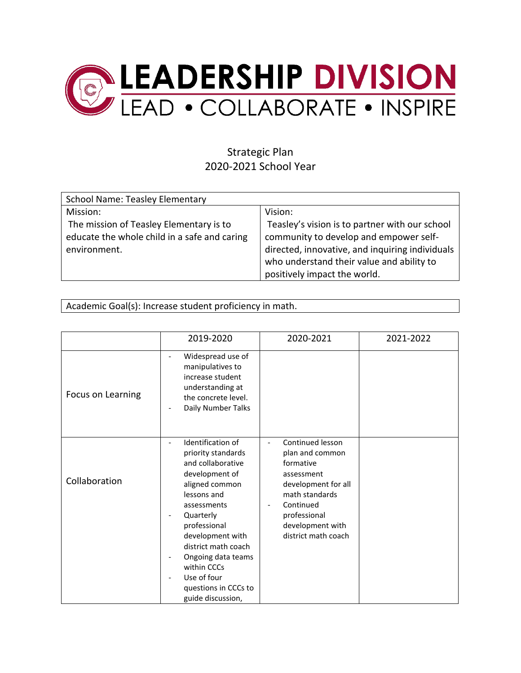

## Strategic Plan 2020-2021 School Year

| <b>School Name: Teasley Elementary</b>       |                                                 |
|----------------------------------------------|-------------------------------------------------|
| Mission:                                     | Vision:                                         |
| The mission of Teasley Elementary is to      | Teasley's vision is to partner with our school  |
| educate the whole child in a safe and caring | community to develop and empower self-          |
| environment.                                 | directed, innovative, and inquiring individuals |
|                                              | who understand their value and ability to       |
|                                              | positively impact the world.                    |

Academic Goal(s): Increase student proficiency in math.

|                   | 2019-2020                                                                                                                                                                                                                                                                                                                           | 2020-2021                                                                                                                                                                                                   | 2021-2022 |
|-------------------|-------------------------------------------------------------------------------------------------------------------------------------------------------------------------------------------------------------------------------------------------------------------------------------------------------------------------------------|-------------------------------------------------------------------------------------------------------------------------------------------------------------------------------------------------------------|-----------|
| Focus on Learning | Widespread use of<br>manipulatives to<br>increase student<br>understanding at<br>the concrete level.<br>Daily Number Talks<br>$\overline{\phantom{a}}$                                                                                                                                                                              |                                                                                                                                                                                                             |           |
| Collaboration     | Identification of<br>priority standards<br>and collaborative<br>development of<br>aligned common<br>lessons and<br>assessments<br>Quarterly<br>professional<br>development with<br>district math coach<br>Ongoing data teams<br>within CCCs<br>Use of four<br>$\overline{\phantom{a}}$<br>questions in CCCs to<br>guide discussion, | Continued lesson<br>$\overline{\phantom{0}}$<br>plan and common<br>formative<br>assessment<br>development for all<br>math standards<br>Continued<br>professional<br>development with<br>district math coach |           |